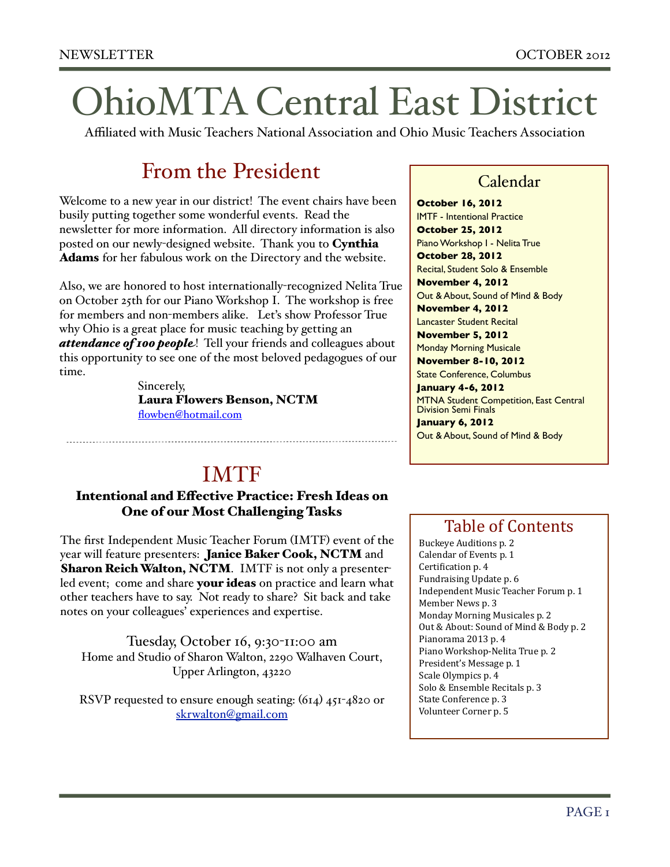# OhioMTA Central East District

Affiliated with Music Teachers National Association and Ohio Music Teachers Association

### From the President

Welcome to a new year in our district! The event chairs have been busily putting together some wonderful events. Read the newsletter for more information. All directory information is also posted on our newly-designed website. Thank you to Cynthia Adams for her fabulous work on the Directory and the website.

Also, we are honored to host internationally-recognized Nelita True on October 25th for our Piano Workshop I. The workshop is free for members and non-members alike. Let's show Professor True why Ohio is a great place for music teaching by getting an *attendance of 100 people*! Tell your friends and colleagues about this opportunity to see one of the most beloved pedagogues of our time.

> Sincerely, Laura Flowers Benson, NCTM flowben@hotmail.com

## IMTF

#### Intentional and Effective Practice: Fresh Ideas on One of our Most Challenging Tasks

The first Independent Music Teacher Forum (IMTF) event of the year will feature presenters: Janice Baker Cook, NCTM and Sharon Reich Walton, NCTM. IMTF is not only a presenterled event; come and share your ideas on practice and learn what other teachers have to say. Not ready to share? Sit back and take notes on your colleagues' experiences and expertise.

Tuesday, October 16, 9:30-11:00 am Home and Studio of Sharon Walton, 2290 Walhaven Court, Upper Arlington, 43220

RSVP requested to ensure enough seating: (614) 451-4820 or [skrwalton@gmail.com](mailto:skrwalton@gmail.com)

### Calendar

**October 16, 2012** IMTF - Intentional Practice **October 25, 2012** Piano Workshop I - Nelita True **October 28, 2012** Recital, Student Solo & Ensemble **November 4, 2012** Out & About, Sound of Mind & Body **November 4, 2012** Lancaster Student Recital **November 5, 2012** Monday Morning Musicale **November 8-10, 2012** State Conference, Columbus **January 4-6, 2012 MTNA Student Competition, East Central** Division Semi Finals **January 6, 2012** Out & About, Sound of Mind & Body

### Table of Contents

Buckeye Auditions p. 2 Calendar of Events p. 1 Certification p. 4 Fundraising Update p. 6 Independent Music Teacher Forum p. 1 Member News p. 3 Monday Morning Musicales p. 2 Out & About: Sound of Mind & Body p. 2 Pianorama 2013 p. 4 Piano Workshop-Nelita True p. 2 President's Message p. 1 Scale Olympics p. 4 Solo & Ensemble Recitals p. 3 State Conference p. 3 Volunteer Corner p. 5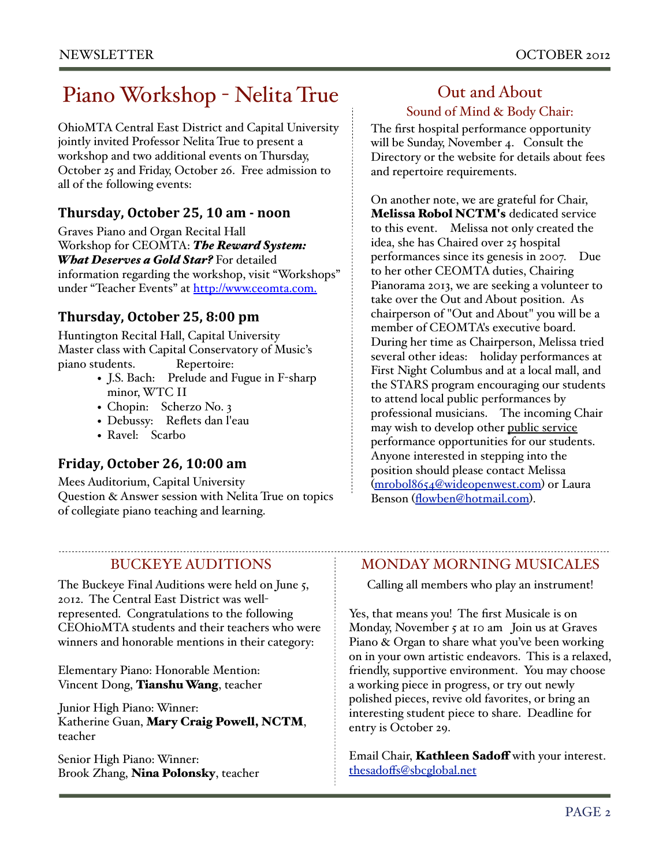### Piano Workshop - Nelita True

OhioMTA Central East District and Capital University jointly invited Professor Nelita True to present a workshop and two additional events on Thursday, October 25 and Friday, October 26. Free admission to all of the following events:

#### **Thursday,\*October\*25,\*10\*am\*6\*noon**

Graves Piano and Organ Recital Hall Workshop for CEOMTA: *The Reward System: What Deserves a Gold Star?* For detailed information regarding the workshop, visit "Workshops" under "Teacher Events" at [http://www.ceomta.com.](http://www.ceomta.com)

### **Thursday,\*October\*25,\*8:00\*pm**

Huntington Recital Hall, Capital University Master class with Capital Conservatory of Music's piano students. Repertoire:

- J.S. Bach: Prelude and Fugue in F-sharp minor, WTC II
- Chopin: Scherzo No. 3
- Debussy: Reflets dan l'eau
- Ravel: Scarbo

### **Friday,\*October\*26,\*10:00\*am**

Mees Auditorium, Capital University Question & Answer session with Nelita True on topics of collegiate piano teaching and learning.

### BUCKEYE AUDITIONS

The Buckeye Final Auditions were held on June 5, 2012. The Central East District was wellrepresented. Congratulations to the following CEOhioMTA students and their teachers who were winners and honorable mentions in their category:

Elementary Piano: Honorable Mention: Vincent Dong, Tianshu Wang, teacher

Junior High Piano: Winner: Katherine Guan, Mary Craig Powell, NCTM, teacher

Senior High Piano: Winner: Brook Zhang, Nina Polonsky, teacher

### Out and About Sound of Mind & Body Chair:

The first hospital performance opportunity will be Sunday, November 4. Consult the Directory or the website for details about fees and repertoire requirements.

On another note, we are grateful for Chair, Melissa Robol NCTM's dedicated service to this event. Melissa not only created the idea, she has Chaired over 25 hospital performances since its genesis in 2007. Due to her other CEOMTA duties, Chairing Pianorama 2013, we are seeking a volunteer to take over the Out and About position. As chairperson of "Out and About" you will be a member of CEOMTA's executive board. During her time as Chairperson, Melissa tried several other ideas: holiday performances at First Night Columbus and at a local mall, and the STARS program encouraging our students to attend local public performances by professional musicians. The incoming Chair may wish to develop other public service performance opportunities for our students. Anyone interested in stepping into the position should please contact Melissa ([mrobol8654@wideopenwest.com](mailto:mrobol8654@wideopenwest.com)) or Laura Benson ([flowben@hotmail.com](mailto:flowben@hotmail.com)).

#### MONDAY MORNING MUSICALES

Calling all members who play an instrument!

Yes, that means you! The first Musicale is on Monday, November 5 at 10 am Join us at Graves Piano & Organ to share what you've been working on in your own artistic endeavors. This is a relaxed, friendly, supportive environment. You may choose a working piece in progress, or try out newly polished pieces, revive old favorites, or bring an interesting student piece to share. Deadline for entry is October 29.

Email Chair, Kathleen Sadoff with your interest. thesadoff[s@sbcglobal.net](mailto:thesadoffs@sbcglobal.net)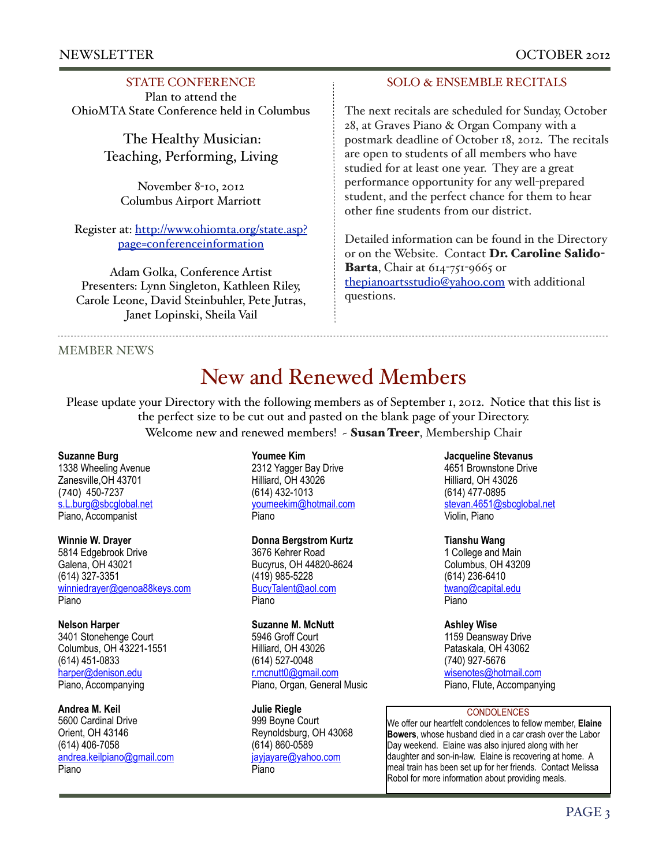#### NEWSLETTER OCTOBER 2012

#### STATE CONFERENCE

Plan to attend the OhioMTA State Conference held in Columbus

> The Healthy Musician: Teaching, Performing, Living

November 8-10, 2012 Columbus Airport Marriott

Register at: [http://www.ohiomta.org/state.asp?](http://www.ohiomta.org/state.asp?page=conferenceinformation) [page=conferenceinformation](http://www.ohiomta.org/state.asp?page=conferenceinformation)

Adam Golka, Conference Artist Presenters: Lynn Singleton, Kathleen Riley, Carole Leone, David Steinbuhler, Pete Jutras, Janet Lopinski, Sheila Vail

#### SOLO & ENSEMBLE RECITALS

The next recitals are scheduled for Sunday, October 28, at Graves Piano & Organ Company with a postmark deadline of October 18, 2012. The recitals are open to students of all members who have studied for at least one year. They are a great performance opportunity for any well-prepared student, and the perfect chance for them to hear other fine students from our district.

Detailed information can be found in the Directory or on the Website. Contact Dr. Caroline Salido-Barta, Chair at  $614 - 751 - 9665$  or [thepianoartsstudio@yahoo.com](mailto:thepianoartsstudio@yahoo.com) with additional questions.

MEMBER NEWS

### New and Renewed Members

Please update your Directory with the following members as of September 1, 2012. Notice that this list is the perfect size to be cut out and pasted on the blank page of your Directory. Welcome new and renewed members! - Susan Treer, Membership Chair

#### **Suzanne Burg**

1338 Wheeling Avenue Zanesville,OH 43701 (740) 450-7237 s.L.burg@sbcglobal.net Piano, Accompanist

#### **Winnie W. Drayer**

5814 Edgebrook Drive Galena, OH 43021 (614) 327-3351 [winniedrayer@genoa88keys.com](mailto:winniedrayer@genoa88keys.com) Piano

#### **Nelson Harper**

3401 Stonehenge Court Columbus, OH 43221-1551 (614) 451-0833 [harper@denison.edu](mailto:harper@denison.edu) Piano, Accompanying

#### **Andrea M. Keil**

5600 Cardinal Drive Orient, OH 43146 (614) 406-7058 [andrea.keilpiano@gmail.com](mailto:andrea.keilpiano@gmail.com) Piano

#### **Youmee Kim**

2312 Yagger Bay Drive Hilliard, OH 43026 (614) 432-1013 [youmeekim@hotmail.com](mailto:youmeekim@hotmail.com) Piano

#### **Donna Bergstrom Kurtz**

3676 Kehrer Road Bucyrus, OH 44820-8624 (419) 985-5228 [BucyTalent@aol.com](mailto:BucyTalent@aol.com)  Piano

#### **Suzanne M. McNutt**

5946 Groff Court Hilliard, OH 43026 (614) 527-0048 [r.mcnutt0@gmail.com](mailto:r.mcnutt0@gmail.com) Piano, Organ, General Music

#### **Julie Riegle**

999 Boyne Court Reynoldsburg, OH 43068 (614) 860-0589 [jayjayare@yahoo.com](mailto:jayjayare@yahoo.com) Piano

**Jacqueline Stevanus**

4651 Brownstone Drive Hilliard, OH 43026 (614) 477-0895 [stevan.4651@sbcglobal.net](mailto:stevan.4651@sbcglobal.net) Violin, Piano

#### **Tianshu Wang**

1 College and Main Columbus, OH 43209 (614) 236-6410 [twang@capital.edu](mailto:twang@capital.edu) Piano

#### **Ashley Wise**

1159 Deansway Drive Pataskala, OH 43062 (740) 927-5676 [wisenotes@hotmail.com](mailto:wisenotes@hotmail.com) Piano, Flute, Accompanying

#### **CONDOLENCES**

We offer our heartfelt condolences to fellow member, **Elaine Bowers**, whose husband died in a car crash over the Labor Day weekend. Elaine was also injured along with her daughter and son-in-law. Elaine is recovering at home. A meal train has been set up for her friends. Contact Melissa Robol for more information about providing meals.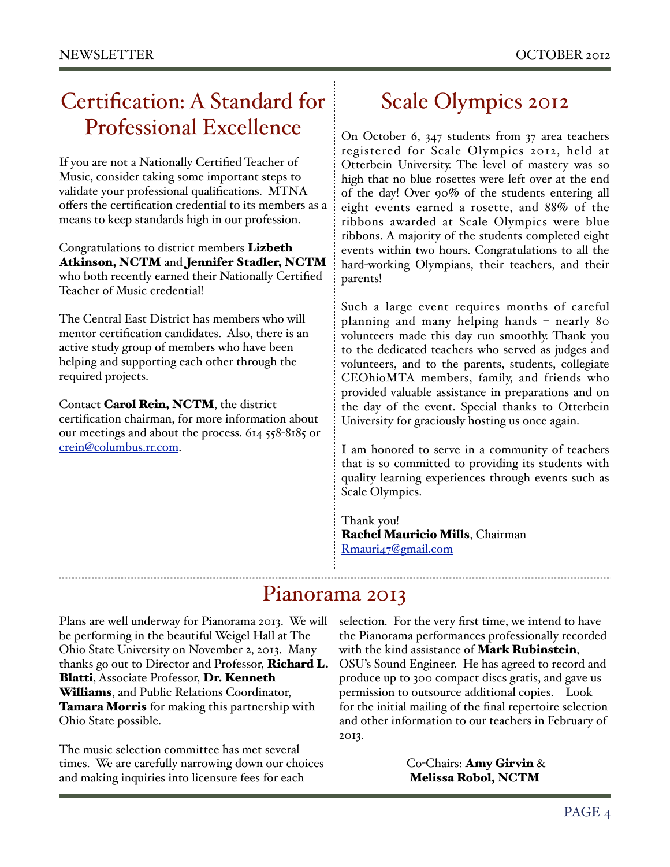### Certification: A Standard for Professional Excellence

If you are not a Nationally Certified Teacher of Music, consider taking some important steps to validate your professional qualifications. MTNA offers the certification credential to its members as a means to keep standards high in our profession.

Congratulations to district members **Lizbeth** Atkinson, NCTM and Jennifer Stadler, NCTM who both recently earned their Nationally Certified Teacher of Music credential!

The Central East District has members who will mentor certification candidates. Also, there is an active study group of members who have been helping and supporting each other through the required projects.

Contact Carol Rein, NCTM, the district certification chairman, for more information about our meetings and about the process. 614 558-8185 or [crein@columbus.rr.com.](mailto:crein@columbus.rr.com)

### Scale Olympics 2012

On October 6, 347 students from 37 area teachers registered for Scale Olympics 2012, held at Otterbein University. The level of mastery was so high that no blue rosettes were left over at the end of the day! Over 90% of the students entering all eight events earned a rosette, and 88% of the ribbons awarded at Scale Olympics were blue ribbons. A majority of the students completed eight events within two hours. Congratulations to all the hard-working Olympians, their teachers, and their parents!

Such a large event requires months of careful planning and many helping hands – nearly 80 volunteers made this day run smoothly. Thank you to the dedicated teachers who served as judges and volunteers, and to the parents, students, collegiate CEOhioMTA members, family, and friends who provided valuable assistance in preparations and on the day of the event. Special thanks to Otterbein University for graciously hosting us once again.

I am honored to serve in a community of teachers that is so committed to providing its students with quality learning experiences through events such as Scale Olympics.

Thank you! Rachel Mauricio Mills, Chairman [Rmauri47@gmail.com](mailto:Rmauri47@gmail.com)

### Pianorama 2013

Plans are well underway for Pianorama 2013. We will be performing in the beautiful Weigel Hall at The Ohio State University on November 2, 2013. Many thanks go out to Director and Professor, Richard L. Blatti, Associate Professor, Dr. Kenneth Williams, and Public Relations Coordinator, Tamara Morris for making this partnership with Ohio State possible.

The music selection committee has met several times. We are carefully narrowing down our choices and making inquiries into licensure fees for each

selection. For the very first time, we intend to have the Pianorama performances professionally recorded with the kind assistance of Mark Rubinstein, OSU's Sound Engineer. He has agreed to record and produce up to 300 compact discs gratis, and gave us permission to outsource additional copies. Look for the initial mailing of the final repertoire selection and other information to our teachers in February of 2013.

> Co-Chairs: Amy Girvin & Melissa Robol, NCTM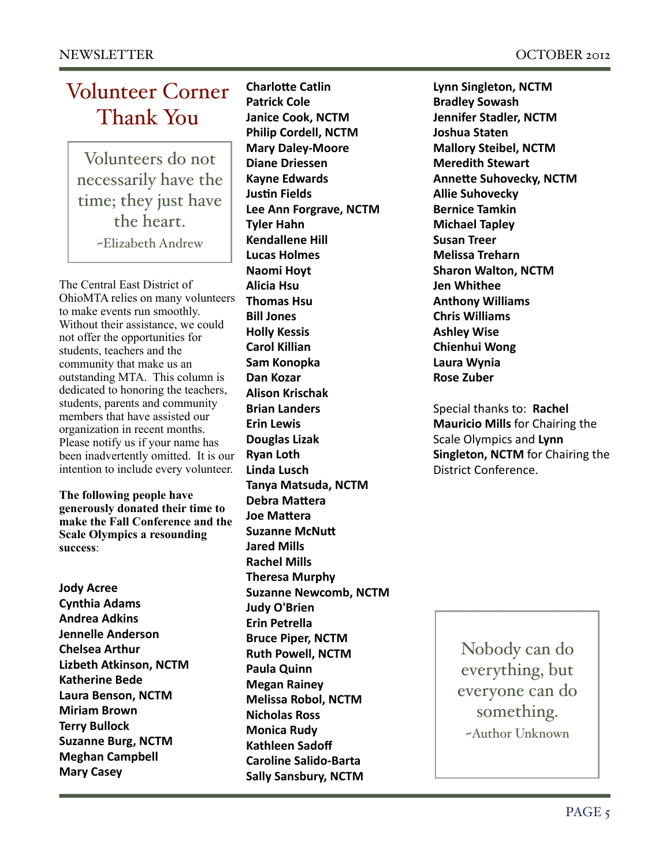## Volunteer Corner Thank You

Volunteers do not necessarily have the time; they just have the heart. ~Elizabeth Andrew

The Central East District of OhioMTA relies on many volunteers to make events run smoothly. Without their assistance, we could not offer the opportunities for students, teachers and the community that make us an outstanding MTA. This column is dedicated to honoring the teachers, students, parents and community members that have assisted our organization in recent months. Please notify us if your name has been inadvertently omitted. It is our intention to include every volunteer.

**The following people have generously donated their time to make the Fall Conference and the Scale Olympics a resounding success**:

**Jody Acree Cynthia%Adams Andrea%Adkins Jennelle%Anderson Chelsea%Arthur Lizbeth Atkinson, NCTM Katherine Bede Laura%Benson,%NCTM Miriam%Brown Terry%Bullock Suzanne Burg, NCTM Meghan%Campbell Mary%Casey**

**Charlotte Catlin Patrick Cole Janice Cook, NCTM Philip%Cordell,%NCTM Mary Daley-Moore Diane%Driessen Kayne Edwards Justin Fields Lee Ann Forgrave, NCTM Tyler%Hahn Kendallene Hill Lucas%Holmes Naomi Hoyt Alicia%Hsu Thomas Hsu Bill%Jones Holly%Kessis Carol Killian Sam%Konopka Dan%Kozar Alison%Krischak Brian%Landers Erin%Lewis Douglas%Lizak Ryan%Loth Linda%Lusch Tanya%Matsuda,%NCTM Debra Mattera Joe Mattera Suzanne McNutt Jared%Mills Rachel Mills Theresa Murphy Suzanne Newcomb, NCTM Judy%O'Brien Erin%Petrella Bruce Piper, NCTM Ruth%Powell,%NCTM Paula%Quinn Megan%Rainey Melissa%Robol,%NCTM Nicholas%Ross Monica Rudy Kathleen%Sadoff** Caroline Salido-Barta **Sally Sansbury, NCTM** 

**Lynn%Singleton,%NCTM Bradley%Sowash Jennifer Stadler, NCTM Joshua%Staten Mallory%Steibel,%NCTM Meredith%Stewart Annette Suhovecky, NCTM Allie Suhovecky Bernice%Tamkin Michael%Tapley Susan%Treer Melissa%Treharn Sharon Walton, NCTM Jen%Whithee Anthony%Williams Chris%Williams Ashley%Wise Chienhui%Wong Laura%Wynia Rose Zuber** 

Special thanks to: Rachel **Mauricio Mills** for Chairing the Scale Olympics and Lynn **Singleton, NCTM** for Chairing the District Conference.

> Nobody can do everything, but everyone can do something. ~Author Unknown